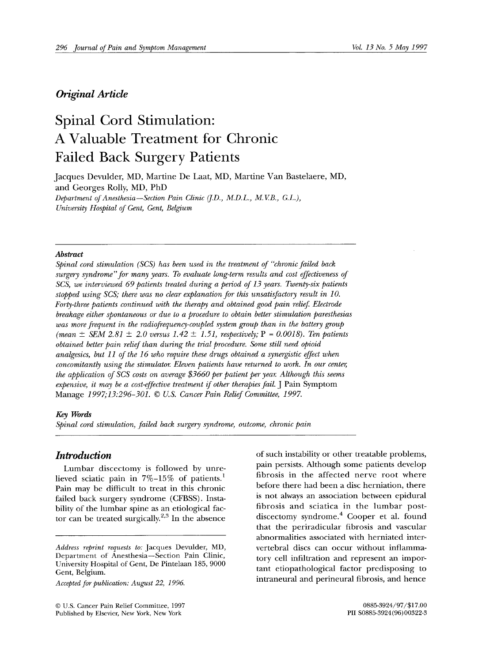# *Original Article*

# **Spinal Cord Stimulation: A Valuable Treatment for Chronic Failed Back Surgery Patients**

Jacques Devulder, MD, Martine De Laat, MD, Martine Van Bastelaere, MD, and Georges Rolly, MD, PhD *Department of Anesthesia--Section Pain Clinic (I.D., M.D.L., M.V.B., G.L.),* 

*University Hospital of Gent, Gent, Belgium* 

#### *Abstract*

*Spinal cord stimulation (SCS) has been used in the treatment of "chronic failed back surgery syndrome'for many years. To evaluate long-term results and cost effectiveness of SCS, we interviewed 69 patients treated during" a period of 13 years. Twenty-six patients stopped using SCS; there was no clear explanation for this unsatisfactory result in 10. Forty-three patients continued with the therapy and obtained good pain relief Electrode breakage either spontaneous or due to a procedure to obtain better stimulation paresthesias was more frequent in the radiofrequency-coupled system group than in the battery group*  $(mean \pm SEM \ 2.81 \pm 2.0 \ versus \ 1.42 \pm 1.51, respectively; P = 0.0018)$ . Ten patients *obtained better pain relief than during the trial procedure. Some still need opioid analgesics, but I1 of the 16 who require these drugs obtained a synergistic effect when concomitantly using the stimulator. Eleven patients have returned to work. In our center, the application of SCS costs on average \$3660 per patient per year. Although this seems expensive, it may be a cost-effective treatment if other therapies fail.* J Pain Symptom Manage *1997;13:296-301. © U.S. Cancer Pain Relief Committee, 1997.* 

#### *Key Words*

*Spinal cord stimulation, failed back surgery syndrome, outcome, chronic pain* 

# *Introduction*

Lumbar discectomy is followed by unrelieved sciatic pain in  $7\%-15\%$  of patients.<sup>1</sup> Pain may be difficult to treat in this chronic failed back surgery syndrome (CFBSS). Instability of the lumbar spine as an etiological factor can be treated surgically.<sup>2,3</sup> In the absence

*Accepted for publication: August 22, 1996.* 

© U.S. Cancer Pain Relief Committee, 1997 0885-3924/97/\$17.00 Published by Elsevier, New York, New York PII S0885-3924(96)00322-3

of such instability or other treatable problems, pain persists. Although some patients develop fibrosis in the affected nerve root where before there had been a disc herniation, there is not always an association between epidural fibrosis and sciatica in the lumbar postdiscectomy syndrome.<sup>4</sup> Cooper et al. found that the periradicular fibrosis and vascular abnormalities associated with herniated intervertebral discs can occur without inflammatory cell infiltration and represent an important etiopathological factor predisposing to intraneural and perineural fibrosis, and hence

*Address reprint requests to:* Jacques Devulder, MD, Department of Anesthesia--Section Pain Clinic, University Hospital of Gent, De Pintelaan 185, 9000 Gent, Belgium.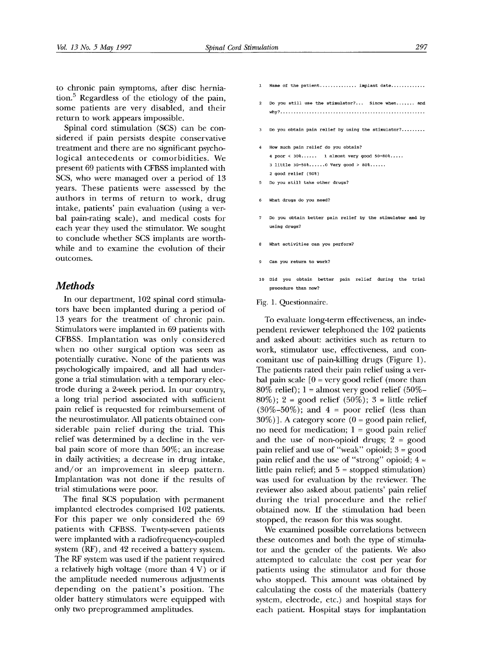Spinal cord stimulation (SCS) can be considered if pain persists despite conservative treatment and there are no significant psychological antecedents or comorbidities. We present 69 patients with CFBSS implanted with SCS, who were managed over a period of 13 years. These patients were assessed by the authors in terms of return to work, drug intake, patients' pain evaluation (using a verbal pain-rating scale), and medical costs for each year they used the stimulator. We sought to conclude whether SCS implants are worthwhile and to examine the evolution of their outcomes.

## *Methods*

In our department, 102 spinal cord stimulators have been implanted during a period of 13 years for the treatment of chronic pain. Stimulators were implanted in 69 patients with CFBSS. Implantation was only considered when no other surgical option was seen as potentially curative. None of the patients was psychologically impaired, and all had undergone a trial stimulation with a temporary electrode during a 2-week period. In our country, a long trial period associated with sufficient pain relief is requested for reimbursement of the neurostimulator. All patients obtained considerable pain relief during the trial. This relief was determined by a decline in the verbal pain score of more than 50%; an increase in daily activities; a decrease in drug intake, and/or an improvement in sleep pattern. Implantation was not done if the results of trial stimulations were poor.

The final SCS population with permanent implanted electrodes comprised 102 patients. For this paper we only considered the 69 patients with CFBSS. Twenty-seven patients were implanted with a radiofrequency-coupled system (RF), and 42 received a battery system. The RF system was used if the patient required a relatively high voltage (more than 4 V) or if the amplitude needed numerous adjustments depending on the patient's position. The older battery stimulators were equipped with only two preprogrammed amplitudes.

- Name of the patient............... implant date.............
- Do you still use the stimulator?... Since when....... and why? .......................................................
- Do you obtain pain relief by using the stimulator?........
- How much pain relief do you obtain? 4 poor < 30% ...... 1 almost very good 50-80% ..... 3 little 30-50% ...... 0 Very good > 80% ...... 2 good relief (50%)
- 5 Do you still take other drugs?
- What drugs do you need?
- 7 Do you obtain better pain relief by the stimulator and by using drugs?
- What activities can you perform?
- Can you return to work?
- i0 Did yOU obtain better pain relief during the trial procedure than now?

#### Fig. 1. Questionnaire.

To evaluate long-term effectiveness, an independent reviewer telephoned the 102 patients and asked about: activities such as return to work, stimulator use, effectiveness, and concomitant use of pain-killing drugs (Figure 1). The patients rated their pain relief using a verbal pain scale  $[0 = \text{very good relief}$  (more than 80% relief);  $1 =$  almost very good relief (50%–  $80\%)$ ; 2 = good relief (50%); 3 = little relief  $(30\% - 50\%)$ ; and  $4 =$  poor relief (less than  $30\%)$ ]. A category score (0 = good pain relief, no need for medication;  $1 = \text{good pain relief}$ and the use of non-opioid drugs;  $2 = good$ pain relief and use of "weak" opioid; 3 = good pain relief and the use of "strong" opioid; 4 = little pain relief; and  $5 =$  stopped stimulation) was used for evaluation by the reviewer. The reviewer also asked about patients' pain relief during the trial procedure and the relief obtained now. If the stimulation had been stopped, the reason for this was sought.

We examined possible correlations between these outcomes and both the type of stimulator and the gender of the patients. We also attempted to calculate the cost per year for patients using the stimulator and for those who stopped. This amount was obtained by calculating the costs of the materials (battery system, electrode, etc.) and hospital stays for each patient. Hospital stays for implantation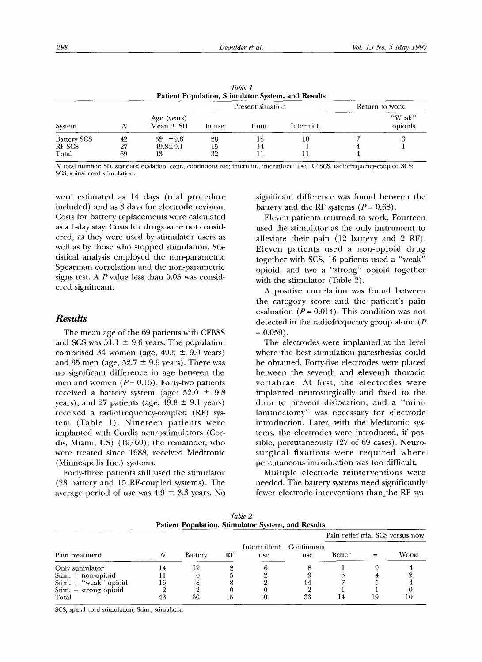| Table 1<br><b>Patient Population, Stimulator System, and Results</b> |                |                                      |                |                   |                |  |                   |  |
|----------------------------------------------------------------------|----------------|--------------------------------------|----------------|-------------------|----------------|--|-------------------|--|
| System                                                               | N              | Age (years)<br>Mean $\pm$ SD         |                | Present situation | Return to work |  |                   |  |
|                                                                      |                |                                      | In use         | Cont.             | Intermitt.     |  | "Weak"<br>opioids |  |
| <b>Battery SCS</b><br>RF SCS<br>Total                                | 42<br>27<br>69 | $52 \pm 9.8$<br>$49.8 \pm 9.1$<br>43 | 28<br>15<br>32 | 18<br>14          | 10<br>11       |  | 3                 |  |

N, total number; SD, standard deviation; cont., continuous use; intermitt., intermittent use; RF SCS, radiofrequency-coupled SCS; SCS, spinal cord stimulation.

were estimated as 14 days (trial procedure included) and as 3 days for electrode revision. Costs for battery replacements were calculated as a 1-day stay. Costs for drugs were not considered, as they were used by stimulator users as well as by those who stopped stimulation. Statistical analysis employed the non-parametric Spearman correlation and the non-parametric signs test. A P value less than 0.05 was considered significant.

## *Results*

The mean age of the 69 patients with CFBSS and SCS was  $51.1 \pm 9.6$  years. The population comprised 34 women (age,  $49.5 \pm 9.0$  years) and 35 men (age,  $52.7 \pm 9.9$  years). There was no significant difference in age between the men and women  $(P = 0.15)$ . Forty-two patients received a battery system (age:  $52.0 \pm 9.8$ years), and 27 patients (age,  $49.8 \pm 9.1$  years) received a radiofrequency-coupled (RF) system (Table 1). Nineteen patients were implanted with Cordis neurostimulators (Cordis, Miami, US) (19/69); the remainder, who were treated since 1988, received Medtronic (Minneapolis Inc.) systems.

Forty-three patients still used the stimulator (28 battery and 15 RF-coupled systems). The average period of use was  $4.9 \pm 3.3$  years. No

significant difference was found between the battery and the RF systems  $(P = 0.68)$ .

Eleven patients returned to work. Fourteen used the stimulator as the only instrument to alleviate their pain (12 battery and 2 RF). Eleven patients used a non-opioid drug together with SCS, 16 patients used a "weak" opioid, and two a "strong" opioid together with the stimulator (Table 2).

A positive correlation was found between the category score and the patient's pain evaluation ( $P = 0.014$ ). This condition was not detected in the radiofrequency group alone (P  $= 0.059$ ).

The electrodes were implanted at the level where the best stimulation paresthesias could be obtained. Forty-five electrodes were placed between the seventh and eleventh thoracic vertabrae. At first, the electrodes were implanted neurosurgically and fixed to the dura to prevent dislocation, and a "minilaminectomy" was necessary for electrode introduction. Later, with the Medtronic systems, the electrodes were introduced, if possible, percutaneously (27 of 69 cases). Neurosurgical fixations were required where percutaneous introduction was too difficult.

Multiple electrode reinterventions were needed. The battery systems need significantly fewer electrode interventions than the RF sys-

| Patient Population, Stimulator System, and Results |    |         |    |                     |                   |                                  |    |       |
|----------------------------------------------------|----|---------|----|---------------------|-------------------|----------------------------------|----|-------|
|                                                    |    | Battery | RF | Intermittent<br>use | Continuous<br>use | Pain relief trial SCS versus now |    |       |
| Pain treatment                                     | N  |         |    |                     |                   | Better                           |    | Worse |
| Only stimulator                                    | 14 | 12      |    |                     |                   |                                  |    |       |
| $Stim. + non-oploid$                               |    |         |    |                     |                   |                                  |    |       |
| Stim. $+$ "weak" opioid                            | 16 |         |    |                     | 14                |                                  |    |       |
| Stim. + strong opioid                              |    |         |    |                     |                   |                                  |    |       |
| Total                                              |    | 30      |    | 10                  | 33                |                                  | 19 | 10    |

*Table 2*  **Patient Population, Stimulator System, and Results** 

SCS, spinal cord stimulation; Stim., stimulator.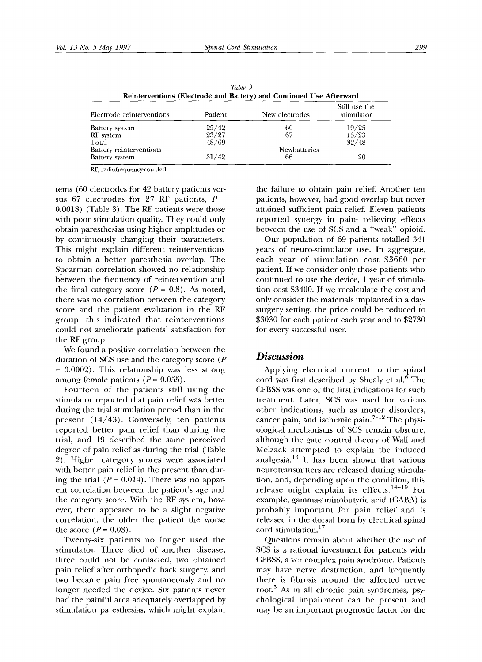| Table 3<br>Reinterventions (Electrode and Battery) and Continued Use Afterward |         |                |                             |  |  |  |  |
|--------------------------------------------------------------------------------|---------|----------------|-----------------------------|--|--|--|--|
| Electrode reinterventions                                                      | Patient | New electrodes | Still use the<br>stimulator |  |  |  |  |
| Battery system                                                                 | 25/42   | 60             | 19/25                       |  |  |  |  |
| RF system                                                                      | 23/27   | 67             | 13/23                       |  |  |  |  |
| Total                                                                          | 48/69   |                | 32/48                       |  |  |  |  |
| Battery reinterventions                                                        |         | Newbatteries   |                             |  |  |  |  |
| Battery system                                                                 | 31/42   | 66             | 20                          |  |  |  |  |

*Table 3* 

RF, radiofrequency-coupled.

terns (60 electrodes for 42 battery patients versus 67 electrodes for 27 RF patients,  $P =$ 0.0018) (Table 3). The RF patients were those with poor stimulation quality. They could only obtain paresthesias using higher amplitudes or by continuously changing their parameters. This might explain different reinterventions to obtain a better paresthesia overlap. The Spearman correlation showed no relationship between the frequency of reintervention and the final category score ( $P = 0.8$ ). As noted, there was no correlation between the category score and the patient evaluation in the RF group; this indicated that reinterventions could not ameliorate patients' satisfaction for the RF group.

We found a positive correlation between the duration of SCS use and the category score (P  $= 0.0002$ ). This relationship was less strong among female patients  $(P = 0.055)$ .

Fourteen of the patients still using the stimulator reported that pain relief was better during the trial stimulation period than in the present (14/43). Conversely, ten patients reported better pain relief than during the trial, and 19 described the same perceived degree of pain relief as during the trial (Table 2). Higher category scores were associated with better pain relief in the present than during the trial  $(P = 0.014)$ . There was no apparent correlation between the patient's age and the category score. With the RF system, however, there appeared to be a slight negative correlation, the older the patient the worse the score  $(P = 0.03)$ .

Twenty-six patients no longer used the stimulator. Three died of another disease, three could not be contacted, two obtained pain relief after orthopedic back surgery, and two became pain free spontaneously and no longer needed the device. Six patients never had the painful area adequately overlapped by stimulation paresthesias, which might explain

the failure to obtain pain relief. Another ten patients, however, had good overlap but never attained sufficient pain relief. Eleven patients reported synergy in pain- relieving effects between the use of SCS and a "weak" opioid.

Our population of 69 patients totalled 341 years of neuro-stimulator use. In aggregate, each year of stimulation cost \$3660 per patient. If we consider only those patients who continued to use the device, 1 year of stimulation cost \$3400. If we recalculate the cost and only consider the materials implanted in a daysurgery setting, the price could be reduced to \$3030 for each patient each year and to \$2730 for every successful user.

## *Discussion*

Applying electrical current to the spinal cord was first described by Shealy et al.<sup>6</sup> The CFBSS was one of the first indications for such treatment. Later, SCS was used for various other indications, such as motor disorders, cancer pain, and ischemic pain. $7-12$  The physiological mechanisms of SCS remain obscure, although the gate control theory of Wall and Melzack attempted to explain the induced analgesia. $13$  It has been shown that various neurotransmitters are released during stimulation, and, depending upon the condition, this release might explain its effects. 14-19 For example, gamma-aminobutyric acid (GABA) is probably important for pain relief and is released in the dorsal horn by electrical spinal cord stimulation.<sup>17</sup>

Questions remain about whether the use of SCS is a rational investment for patients with CFBSS, aver complex pain syndrome. Patients may have nerve destruction, and frequently there is fibrosis around the affected nerve root.<sup>5</sup> As in all chronic pain syndromes, psychological impairment can be present and may be an important prognostic factor for the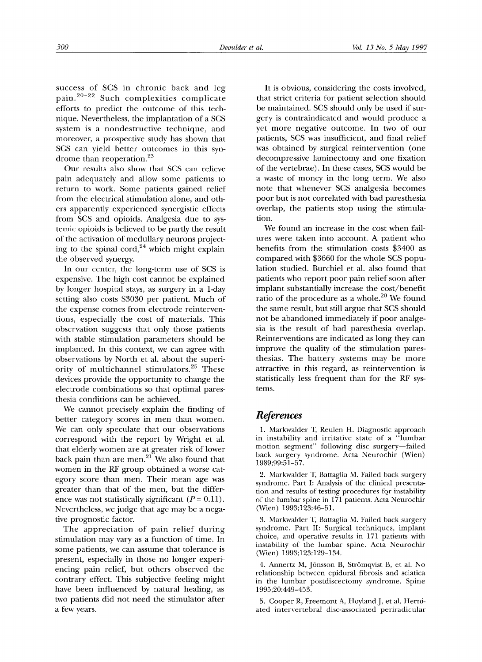success of SCS in chronic back and leg pain.<sup>20-22</sup> Such complexities complicate efforts to predict the outcome of this technique. Nevertheless, the implantation of a SCS system is a nondestructive technique, and moreover, a prospective study has shown that SCS can yield better outcomes in this syndrome than reoperation.<sup>23</sup>

Our results also show that SCS can relieve pain adequately and allow some patients to return to work. Some patients gained relief from the electrical stimulation alone, and others apparently experienced synergistic effects from SCS and opioids. Analgesia due to systemic opioids is believed to be partly the result of the activation of medullary neurons projecting to the spinal cord, $24$  which might explain the observed synergy.

In our center, the long-term use of SCS is expensive. The high cost cannot be explained by longer hospital stays, as surgery in a 1-day setting also costs \$3030 per patient. Much of the expense comes from electrode reinterventions, especially the cost of materials. This observation suggests that only those patients with stable stimulation parameters should be implanted. In this context, we can agree with observations by North et al. about the superiority of multichannel stimulators.<sup>25</sup> These devices provide the opportunity to change the electrode combinations so that optimal paresthesia conditions can be achieved.

We cannot precisely explain the finding of better category scores in men than women. We can only speculate that our observations correspond with the report by Wright et al. that elderly women are at greater risk of lower back pain than are men. $21$  We also found that women in the RF group obtained a worse category score than men. Their mean age was greater than that of the men, but the difference was not statistically significant ( $P = 0.11$ ). Nevertheless, we judge that age may be a negative prognostic factor.

The appreciation of pain relief during stimulation may vary as a function of time. In some patients, we can assume that tolerance is present, especially in those no longer experiencing pain relief, but others observed the contrary effect. This subjective feeling might have been influenced by natural healing, as two patients did not need the stimulator after a few years.

It is obvious, considering the costs involved, that strict criteria for patient selection should be maintained. SCS should only be used if surgery is contraindicated and would produce a yet more negative outcome. In two of our patients, SCS was insufficient, and final relief was obtained by surgical reintervention (one decompressive laminectomy and one fixation of the vertebrae). In these cases, SCS would be a waste of money in the long term. We also note that whenever SCS analgesia becomes poor but is not correlated with bad paresthesia overlap, the patients stop using the stimulation.

We found an increase in the cost when failures were taken into account. A patient who benefits from the stimulation costs \$3400 as compared with \$3660 for the whole SCS population studied. Burchiel et al. also found that patients who report poor pain relief soon after implant substantially increase the cost/benefit ratio of the procedure as a whole.<sup>20</sup> We found the same result, but still argue that SCS should not be abandoned immediately if poor analgesia is the result of bad paresthesia overlap. Reinterventions are indicated as long they can improve the quality of the stimulation paresthesias. The battery systems may be more attractive in this regard, as reintervention is statistically less frequent than for the RF systems.

## *References*

1. Markwalder T, Reulen H. Diagnostic approach in instability and irritative state of a "lumbar motion segment" following disc surgery-failed back surgery syndrome. Acta Neurochir (Wien) 1989;99:51-57.

2. Markwalder T, Battaglia M. Failed back surgery syndrome. Part I: Analysis of the clinical presentation and results of testing procedures for instability of the lumbar spine in 171 patients. Acta Neurochir (Wien) 1993;123:46-51.

3. Markwalder T, Battaglia M. Failed back surgery syndrome. Part II: Surgical techniques, implant choice, and operative results in 171 patients with instability of the lumbar spine. Acta Neurochir (Wien) 1993;123:129-134.

4. Annertz M, Jönsson B, Strömqvist B, et al. No relationship between epidural fibrosis and sciatica in the lumbar postdiscectomy syndrome. Spine 1995;20:449-453.

5. Cooper R, Freemont A, Hoyland J, et al. Herniated intervertebral disc-associated periradicular